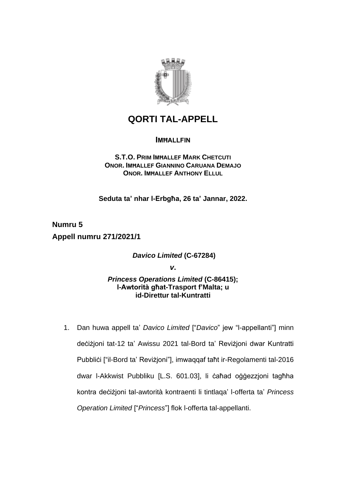

## **QORTI TAL-APPELL**

## **IMĦALLFIN**

## **S.T.O. PRIM IMĦALLEF MARK CHETCUTI ONOR. IMĦALLEF GIANNINO CARUANA DEMAJO ONOR. IMĦALLEF ANTHONY ELLUL**

**Seduta ta' nhar l-Erbgħa, 26 ta' Jannar, 2022.**

**Numru 5 Appell numru 271/2021/1**

*Davico Limited* **(C-67284)**

*v***.**

*Princess Operations Limited* **(C-86415); l-Awtorità għat-Trasport f'Malta; u id-Direttur tal-Kuntratti**

1. Dan huwa appell ta' *Davico Limited* ["*Davico*" jew "l-appellanti"] minn deċiżjoni tat-12 ta' Awissu 2021 tal-Bord ta' Reviżjoni dwar Kuntratti Pubbliċi ["il-Bord ta' Reviżjoni"], imwaqqaf taħt ir-Regolamenti tal-2016 dwar l-Akkwist Pubbliku [L.S. 601.03], li ċaħad oġġezzjoni tagħha kontra deċiżjoni tal-awtorità kontraenti li tintlaqa' l-offerta ta' *Princess Operation Limited* ["*Princess*"] flok l-offerta tal-appellanti.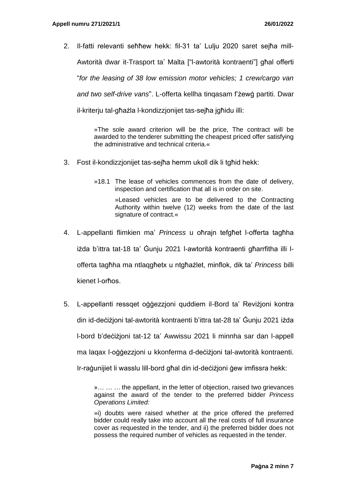2. Il-fatti relevanti seħħew hekk: fil-31 ta' Lulju 2020 saret sejħa mill-Awtorità dwar it-Trasport ta' Malta ["l-awtorità kontraenti"] għal offerti "*for the leasing of 38 low emission motor vehicles; 1 crew/cargo van and two self-drive vans*". L-offerta kellha tinqasam f'żewġ partiti. Dwar il-kriterju tal-għażla l-kondizzjonijet tas-sejħa jgħidu illi:

> »The sole award criterion will be the price, The contract will be awarded to the tenderer submitting the cheapest priced offer satisfying the administrative and technical criteria.«

- 3. Fost il-kondizzjonijet tas-sejħa hemm ukoll dik li tgħid hekk:
	- »18.1 The lease of vehicles commences from the date of delivery, inspection and certification that all is in order on site.

»Leased vehicles are to be delivered to the Contracting Authority within twelve (12) weeks from the date of the last signature of contract.«

- 4. L-appellanti flimkien ma' *Princess* u oħrajn tefgħet l-offerta tagħha iżda b'ittra tat-18 ta' Ġunju 2021 l-awtorità kontraenti għarrfitha illi lofferta tagħha ma ntlaqgħetx u ntgħażlet, minflok, dik ta' *Princess* billi kienet l-orħos.
- 5. L-appellanti ressqet oġġezzjoni quddiem il-Bord ta' Reviżjoni kontra din id-deċiżjoni tal-awtorità kontraenti b'ittra tat-28 ta' Ġunju 2021 iżda l-bord b'deċiżjoni tat-12 ta' Awwissu 2021 li minnha sar dan l-appell ma laqax l-oġġezzjoni u kkonferma d-deċiżjoni tal-awtorità kontraenti. Ir-raġunijiet li wasslu lill-bord għal din id-deċiżjoni ġew imfissra hekk:

»… … … the appellant, in the letter of objection, raised two grievances against the award of the tender to the preferred bidder *Princess Operations Limited:*

»i) doubts were raised whether at the price offered the preferred bidder could really take into account all the real costs of full insurance cover as requested in the tender, and ii) the preferred bidder does not possess the required number of vehicles as requested in the tender.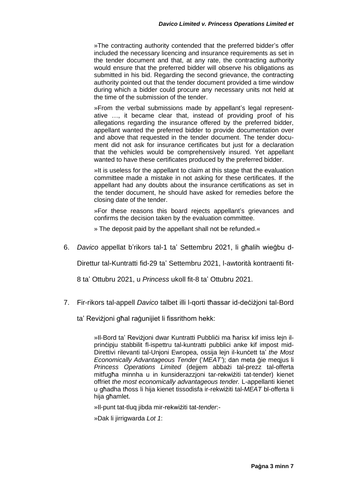»The contracting authority contended that the preferred bidder's offer included the necessary licencing and insurance requirements as set in the tender document and that, at any rate, the contracting authority would ensure that the preferred bidder will observe his obligations as submitted in his bid. Regarding the second grievance, the contracting authority pointed out that the tender document provided a time window during which a bidder could procure any necessary units not held at the time of the submission of the tender.

»From the verbal submissions made by appellant's legal representative …, it became clear that, instead of providing proof of his allegations regarding the insurance offered by the preferred bidder, appellant wanted the preferred bidder to provide documentation over and above that requested in the tender document. The tender document did not ask for insurance certificates but just for a declaration that the vehicles would be comprehensively insured. Yet appellant wanted to have these certificates produced by the preferred bidder.

»It is useless for the appellant to claim at this stage that the evaluation committee made a mistake in not asking for these certificates. If the appellant had any doubts about the insurance certifications as set in the tender document, he should have asked for remedies before the closing date of the tender.

»For these reasons this board rejects appellant's grievances and confirms the decision taken by the evaluation committee.

» The deposit paid by the appellant shall not be refunded.«

6. *Davico* appellat b'rikors tal-1 ta' Settembru 2021, li għalih wieġbu d-

Direttur tal-Kuntratti fid-29 ta' Settembru 2021, l-awtorità kontraenti fit-

8 ta' Ottubru 2021, u *Princess* ukoll fit-8 ta' Ottubru 2021.

7. Fir-rikors tal-appell *Davico* talbet illi l-qorti tħassar id-deċiżjoni tal-Bord

ta' Revizioni għal raġunijiet li fissrithom hekk:

»II-Bord ta' Revizioni dwar Kuntratti Pubblići ma ħarisx kif imiss lejn ilprinċipju stabbilit fl-ispettru tal-kuntratti pubblici anke kif impost mid-Direttivi rilevanti tal-Unjoni Ewropea, ossija lejn il-kunċett ta' *the Most Economically Advantageous Tender* ('*MEAT'*); dan meta ġie meqjus li *Princess Operations Limited* (dejjem abbażi tal-prezz tal-offerta mitfugħa minnha u in kunsiderazzjoni tar-rekwiżiti tat-tender) kienet offriet *the most economically advantageous tender.* L-appellanti kienet u għadha tħoss li hija kienet tissodisfa ir-rekwiżiti tal-*MEAT* bl-offerta li hija għamlet.

»Il-punt tat-tluq jibda mir-rekwiżiti tat-*tender*:-

»Dak li jirrigwarda *Lot 1*: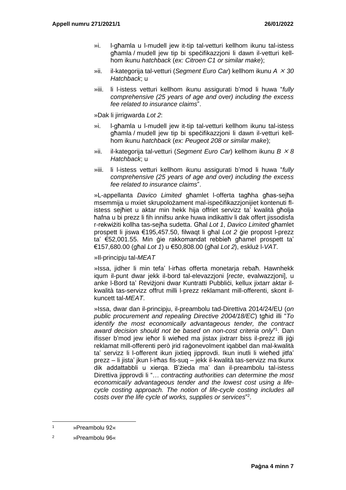- »i. l-għamla u l-mudell jew it-tip tal-vetturi kellhom ikunu tal-istess għamla / mudell jew tip bi speċifikazzjoni li dawn il-vetturi kellhom ikunu *hatchback* (*ex: Citroen C1 or similar make*);
- »ii. il-kategorija tal-vetturi (*Segment Euro Car*) kellhom ikunu *A 30 Hatchback*; u
- »iii. li l-istess vetturi kellhom ikunu assigurati b'mod li huwa "*fully comprehensive (25 years of age and over) including the excess fee related to insurance claims*".

»Dak li jirrigwarda *Lot 2*:

- »i. l-għamla u l-mudell jew it-tip tal-vetturi kellhom ikunu tal-istess għamla / mudell jew tip bi speċifikazzjoni li dawn il-vetturi kellhom ikunu *hatchback* (*ex: Peugeot 208 or similar make*);
- »ii. il-kategorija tal-vetturi (*Segment Euro Car*) kellhom ikunu *B 8 Hatchback*; u
- »iii. li l-istess vetturi kellhom ikunu assigurati b'mod li huwa "*fully comprehensive (25 years of age and over) including the excess fee related to insurance claims*".

»L-appellanta *Davico Limited* għamlet l-offerta tagħha għas-sejħa msemmija u mxiet skrupolożament mal-ispeċifikazzjonijiet kontenuti flistess sejħiet u aktar min hekk hija offriet servizz ta' kwalità għolja ħafna u bi prezz li fih innifsu anke huwa indikattiv li dak offert jissodisfa r-rekwiżiti kollha tas-sejħa sudetta. Għal *Lot 1*, *Davico Limited* għamlet prospett li jiswa €195,457.50, filwaqt li għal *Lot 2* ġie propost l-prezz ta' €52,001.55. Min ġie rakkomandat rebbieħ għamel prospett ta' €157,680.00 (għal *Lot 1*) u €50,808.00 (għal *Lot 2*), eskluż l-*VAT*.

»Il-principju tal-*MEAT*

»Issa, jidher li min tefa' l-irħas offerta monetarja rebaħ. Hawnhekk iqum il-punt dwar jekk il-bord tal-elevazzjoni [*recte*, evalwazzjoni], u anke I-Bord ta' Reviżjoni dwar Kuntratti Pubblići, kellux jixtarr aktar ilkwalità tas-servizz offrut milli l-prezz reklamant mill-offerenti, skont ilkuncett tal-*MEAT*.

»Issa, dwar dan il-principju, il-preambolu tad-Direttiva 2014/24/EU (*on public procurement and repealing Directive 2004/18/EC*) tgħid illi "*To identify the most economically advantageous tender, the contract*  award decision should not be based on non-cost criteria only"<sup>1</sup>. Dan ifisser b'mod jew ieħor li wieħed ma jistax jixtrarr biss il-prezz illi jiġi reklamat mill-offerenti però jrid raġonevolment iqabbel dan mal-kwalità ta' servizz li l-offerent ikun jixtieq jipprovdi. Ikun inutli li wieħed jitfa' prezz – li jista' jkun l-irħas fis-suq – jekk il-kwalità tas-servizz ma tkunx dik addattabbli u xierqa. B'żieda ma' dan il-preambolu tal-istess Direttiva jipprovdi li "… *contracting authorities can determine the most economical/y advantageous tender and the lowest cost using a lifecycle costing approach. The notion of life-cycle costing includes all costs over the life cycle of works, supplies or services*" 2 .

<sup>1</sup> »Preambolu 92«

<sup>2</sup> »Preambolu 96«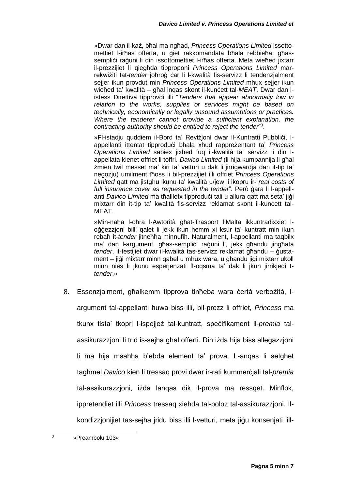»Dwar dan il-każ, bħal ma ngħad, *Princess Operations Limited* issottomettiet l-irħas offerta, u ġiet rakkomandata bħala rebbieħa, għassempliċi raġuni li din issottomettiet l-irħas offerta. Meta wieħed jixtarr il-prezzijiet li qiegħda tipproponi *Princess Operations Limited* marrekwiżiti tat-*tender* joħroġ ċar li l-kwalità fis-servizz li tendenzjalment sejjer ikun provdut min *Princess Operations Limited* mhux sejjer ikun wieħed ta' kwalità – għal inqas skont il-kunċett tal-*MEAT*. Dwar dan listess Direttiva tipprovdi illi "*Tenders that appear abnormaliy low in relation to the works, supplies or services might be based on technically, economically or legally unsound assumptions or practices. Where the tenderer cannot provide a sufficient explanation, the*  contracting authority should be entitled to reject the tender"<sup>3</sup>.

»Fl-istadiu quddiem il-Bord ta' Revizioni dwar il-Kuntratti Pubblići, lappellanti ittentat tipproduċi bħala xhud rappreżentant ta' *Princess Operations Limited* sabiex jixhed fuq il-kwalità ta' servizz li din lappellata kienet offriet li toffri. *Davico Limited* (li hija kumpannija li għal żmien twil messet ma' kiri ta' vetturi u dak li jirrigwardja dan it-tip ta' negozju) umilment tħoss li bil-prezzijiet illi offriet *Princess Operations Limited* qatt ma jistgħu ikunu ta' kwalità u/jew li ikopru ir-"*real costs of full insurance cover as requested in the tender*"*.* Però ġara li l-appellanti *Davico Limited* ma tħallietx tipproduċi tali u allura gatt ma seta' iiġi mixtarr din it-tip ta' kwalità fis-servizz reklamat skont il-kuncett tal-MEAT.

»Min-naħa l-oħra l-Awtorità għat-Trasport f'Malta ikkuntradixxiet loġġezzjoni billi qalet li jekk ikun hemm xi ksur ta' kuntratt min ikun rebaħ it-*tender* jitneħħa minnufih. Naturalment, l-appellanti ma taqbilx ma' dan l-argument, għas-sempliċi raġuni li, jekk għandu jingħata *tender*, it-testijiet dwar il-kwalità tas-servizz reklamat għandu – ġustament – jiġi mixtarr minn qabel u mhux wara, u għandu jiġi mixtarr ukoll minn nies li jkunu esperjenzati fl-oqsma ta' dak li jkun jirrikjedi t*tender*.«

8. Essenzjalment, għalkemm tipprova tinħeba wara ċertà verbożità, largument tal-appellanti huwa biss illi, bil-prezz li offriet*, Princess* ma tkunx tista' tkopri l-ispejjeż tal-kuntratt, speċifikament il-*premia* talassikurazzjoni li trid is-sejħa għal offerti. Din iżda hija biss allegazzjoni li ma hija msaħħa b'ebda element ta' prova. L-anqas li setgħet tagħmel *Davico* kien li tressaq provi dwar ir-rati kummerċjali tal-*premia* tal-assikurazzjoni, iżda lanqas dik il-prova ma ressqet. Minflok, ippretendiet illi *Princess* tressaq xiehda tal-poloz tal-assikurazzjoni. Ilkondizzjonijiet tas-sejħa jridu biss illi l-vetturi, meta jiġu konsenjati lill-

<sup>3</sup> »Preambolu 103«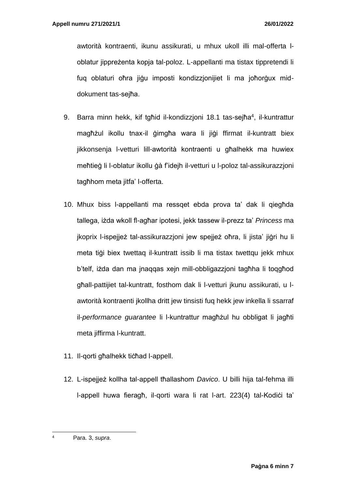awtorità kontraenti, ikunu assikurati, u mhux ukoll illi mal-offerta loblatur jippreżenta kopja tal-poloz. L-appellanti ma tistax tippretendi li fuq oblaturi oħra jiġu imposti kondizzjonijiet li ma joħorġux middokument tas-sejħa.

- 9. Barra minn hekk, kif tgħid il-kondizzjoni 18.1 tas-sejħa<sup>4</sup>, il-kuntrattur magħżul ikollu tnax-il ġimgħa wara li jiġi ffirmat il-kuntratt biex jikkonsenja l-vetturi lill-awtorità kontraenti u għalhekk ma huwiex meħtieġ li l-oblatur ikollu ġà f'idejh il-vetturi u l-poloz tal-assikurazzjoni tagħhom meta jitfa' l-offerta.
- 10. Mhux biss l-appellanti ma ressqet ebda prova ta' dak li qiegħda tallega, iżda wkoll fl-agħar ipotesi, jekk tassew il-prezz ta' *Princess* ma jkoprix l-ispejjeż tal-assikurazzjoni jew spejjeż oħra, li jista' jiġri hu li meta tiġi biex twettaq il-kuntratt issib li ma tistax twettqu jekk mhux b'telf, iżda dan ma jnaqqas xejn mill-obbligazzjoni tagħha li toqgħod għall-pattijiet tal-kuntratt, fosthom dak li l-vetturi jkunu assikurati, u lawtorità kontraenti jkollha dritt jew tinsisti fuq hekk jew inkella li ssarraf il-*performance guarantee* li l-kuntrattur magħżul hu obbligat li jagħti meta jiffirma l-kuntratt.
- 11. Il-qorti għalhekk tiċħad l-appell.
- 12. L-ispejjeż kollha tal-appell tħallashom *Davico*. U billi hija tal-fehma illi l-appell huwa fieragħ, il-qorti wara li rat l-art. 223(4) tal-Kodiċi ta'

<sup>4</sup> Para. 3, *supra*.